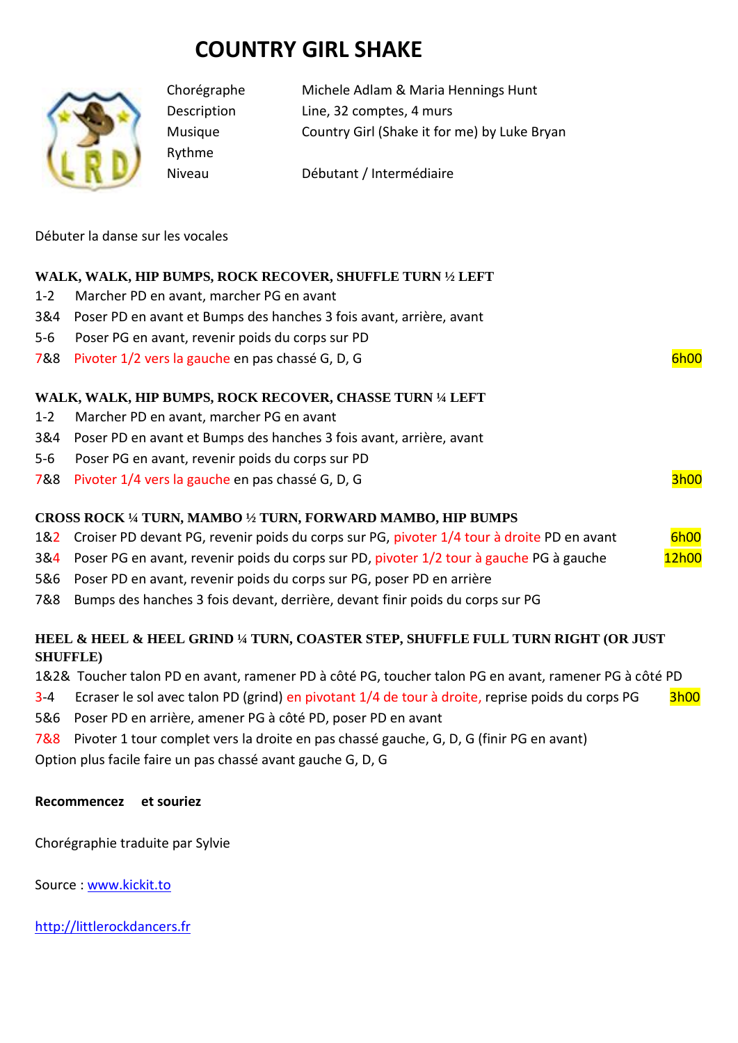# **COUNTRY GIRL SHAKE**



Rythme

Chorégraphe Michele Adlam & Maria Hennings Hunt Description Line, 32 comptes, 4 murs Musique Country Girl (Shake it for me) by Luke Bryan

Niveau Débutant / Intermédiaire

Débuter la danse sur les vocales

## **WALK, WALK, HIP BUMPS, ROCK RECOVER, SHUFFLE TURN ½ LEFT**

- 1-2 Marcher PD en avant, marcher PG en avant
- 3&4 Poser PD en avant et Bumps des hanches 3 fois avant, arrière, avant
- 5-6 Poser PG en avant, revenir poids du corps sur PD
- 7&8 Pivoter 1/2 vers la gauche en pas chassé G, D, G 6h00

## **WALK, WALK, HIP BUMPS, ROCK RECOVER, CHASSE TURN ¼ LEFT**

- 1-2 Marcher PD en avant, marcher PG en avant
- 3&4 Poser PD en avant et Bumps des hanches 3 fois avant, arrière, avant
- 5-6 Poser PG en avant, revenir poids du corps sur PD
- 7&8 Pivoter 1/4 vers la gauche en pas chassé G, D, G 3h00

### **CROSS ROCK ¼ TURN, MAMBO ½ TURN, FORWARD MAMBO, HIP BUMPS**

- 1&2 Croiser PD devant PG, revenir poids du corps sur PG, pivoter 1/4 tour à droite PD en avant 6h00
- 3&4 Poser PG en avant, revenir poids du corps sur PD, pivoter 1/2 tour à gauche PG à gauche 12h00
- 5&6 Poser PD en avant, revenir poids du corps sur PG, poser PD en arrière
- 7&8 Bumps des hanches 3 fois devant, derrière, devant finir poids du corps sur PG

### **HEEL & HEEL & HEEL GRIND ¼ TURN, COASTER STEP, SHUFFLE FULL TURN RIGHT (OR JUST SHUFFLE)**

1&2& Toucher talon PD en avant, ramener PD à côté PG, toucher talon PG en avant, ramener PG à côté PD

- 3-4 Ecraser le sol avec talon PD (grind) en pivotant 1/4 de tour à droite, reprise poids du corps PG 3h00
- 5&6 Poser PD en arrière, amener PG à côté PD, poser PD en avant
- 7&8 Pivoter 1 tour complet vers la droite en pas chassé gauche, G, D, G (finir PG en avant)

Option plus facile faire un pas chassé avant gauche G, D, G

#### **Recommencez et souriez**

Chorégraphie traduite par Sylvie

Source : [www.kickit.to](http://www.kickit.to/)

[http://littlerockdancers.fr](http://littlerockdancers.fr/)